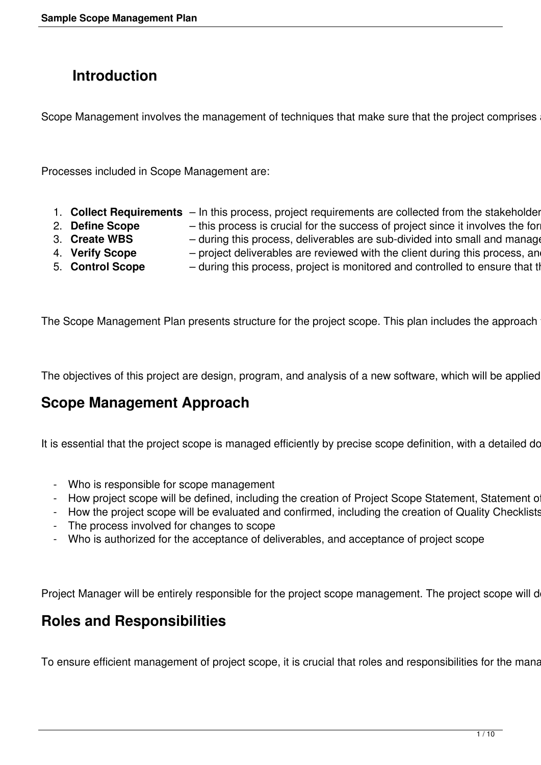# **Introduction**

Scope Management involves the management of techniques that make sure that the project comprises

Processes included in Scope Management are:

- 1. Collect Requirements In this process, project requirements are collected from the stakeholder
- 2. Define Scope his process is crucial for the success of project since it involves the for
- 
- 3. Create WBS during this process, deliverables are sub-divided into small and manage
- 
- 4. **Verify Scope** project deliverables are reviewed with the client during this process, and the deliverables are reviewed with the client during this process, and
- 
- 5. Control Scope during this process, project is monitored and controlled to ensure that the

The Scope Management Plan presents structure for the project scope. This plan includes the approach

The objectives of this project are design, program, and analysis of a new software, which will be applied

#### **Scope Management Approach**

It is essential that the project scope is managed efficiently by precise scope definition, with a detailed do

- Who is responsible for scope management
- How project scope will be defined, including the creation of Project Scope Statement, Statement o
- How the project scope will be evaluated and confirmed, including the creation of Quality Checklists
- The process involved for changes to scope
- Who is authorized for the acceptance of deliverables, and acceptance of project scope

Project Manager will be entirely responsible for the project scope management. The project scope will d

#### **Roles and Responsibilities**

To ensure efficient management of project scope, it is crucial that roles and responsibilities for the mana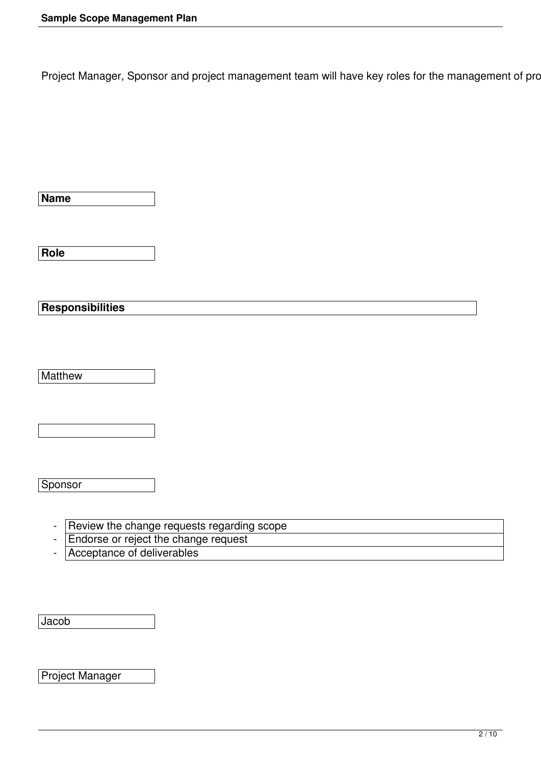Project Manager, Sponsor and project management team will have key roles for the management of pro

**Name** 

**Role** 

#### **Responsibilities**

**Matthew** 

**Sponsor** 

- Review the change requests regarding scope
- Endorse or reject the change request
- Acceptance of deliverables

**Jacob** 

Project Manager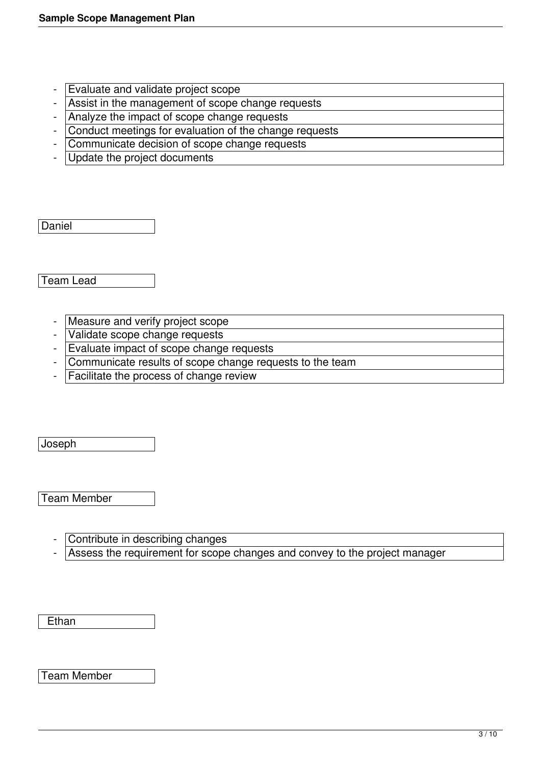- Evaluate and validate project scope
- Assist in the management of scope change requests
- Analyze the impact of scope change requests
- Conduct meetings for evaluation of the change requests
- Communicate decision of scope change requests
- Update the project documents

**Daniel** 

Team Lead

- Measure and verify project scope
- Validate scope change requests
- Evaluate impact of scope change requests
- Communicate results of scope change requests to the team
- Facilitate the process of change review

Joseph

Team Member

Contribute in describing changes

Assess the requirement for scope changes and convey to the project manager

**Ethan** 

Team Member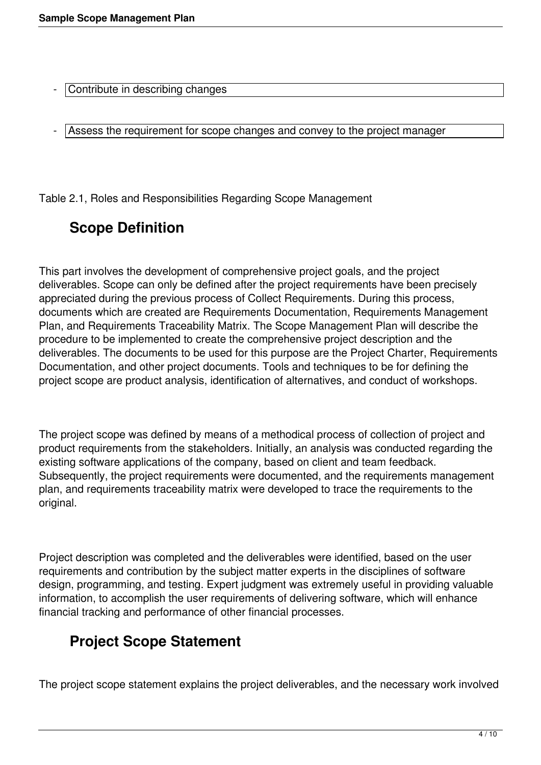Contribute in describing changes

#### Assess the requirement for scope changes and convey to the project manager

Table 2.1, Roles and Responsibilities Regarding Scope Management

### **Scope Definition**

This part involves the development of comprehensive project goals, and the project deliverables. Scope can only be defined after the project requirements have been precisely appreciated during the previous process of Collect Requirements. During this process, documents which are created are Requirements Documentation, Requirements Management Plan, and Requirements Traceability Matrix. The Scope Management Plan will describe the procedure to be implemented to create the comprehensive project description and the deliverables. The documents to be used for this purpose are the Project Charter, Requirements Documentation, and other project documents. Tools and techniques to be for defining the project scope are product analysis, identification of alternatives, and conduct of workshops.

The project scope was defined by means of a methodical process of collection of project and product requirements from the stakeholders. Initially, an analysis was conducted regarding the existing software applications of the company, based on client and team feedback. Subsequently, the project requirements were documented, and the requirements management plan, and requirements traceability matrix were developed to trace the requirements to the original.

Project description was completed and the deliverables were identified, based on the user requirements and contribution by the subject matter experts in the disciplines of software design, programming, and testing. Expert judgment was extremely useful in providing valuable information, to accomplish the user requirements of delivering software, which will enhance financial tracking and performance of other financial processes.

#### **Project Scope Statement**

The project scope statement explains the project deliverables, and the necessary work involved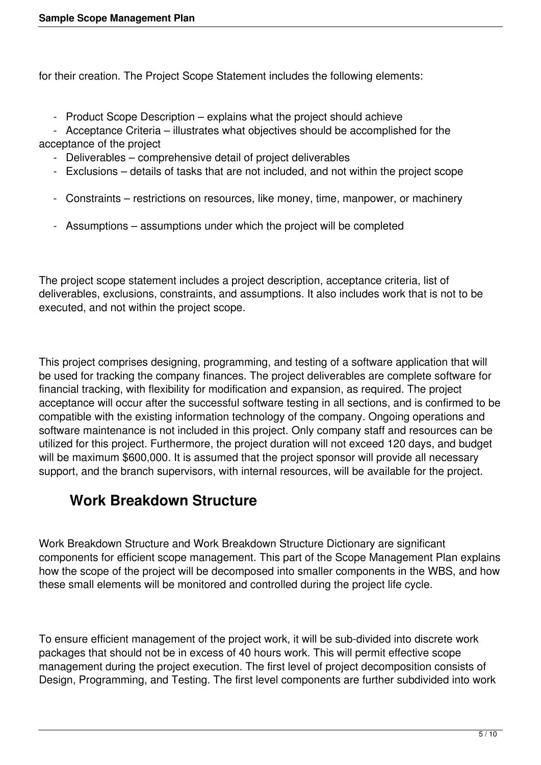for their creation. The Project Scope Statement includes the following elements:

- Product Scope Description explains what the project should achieve
- Acceptance Criteria illustrates what objectives should be accomplished for the acceptance of the project
	- Deliverables comprehensive detail of project deliverables
	- Exclusions details of tasks that are not included, and not within the project scope
	- Constraints restrictions on resources, like money, time, manpower, or machinery
	- Assumptions assumptions under which the project will be completed

The project scope statement includes a project description, acceptance criteria, list of deliverables, exclusions, constraints, and assumptions. It also includes work that is not to be executed, and not within the project scope.

This project comprises designing, programming, and testing of a software application that will be used for tracking the company finances. The project deliverables are complete software for financial tracking, with flexibility for modification and expansion, as required. The project acceptance will occur after the successful software testing in all sections, and is confirmed to be compatible with the existing information technology of the company. Ongoing operations and software maintenance is not included in this project. Only company staff and resources can be utilized for this project. Furthermore, the project duration will not exceed 120 days, and budget will be maximum \$600,000. It is assumed that the project sponsor will provide all necessary support, and the branch supervisors, with internal resources, will be available for the project.

## **Work Breakdown Structure**

Work Breakdown Structure and Work Breakdown Structure Dictionary are significant components for efficient scope management. This part of the Scope Management Plan explains how the scope of the project will be decomposed into smaller components in the WBS, and how these small elements will be monitored and controlled during the project life cycle.

To ensure efficient management of the project work, it will be sub-divided into discrete work packages that should not be in excess of 40 hours work. This will permit effective scope management during the project execution. The first level of project decomposition consists of Design, Programming, and Testing. The first level components are further subdivided into work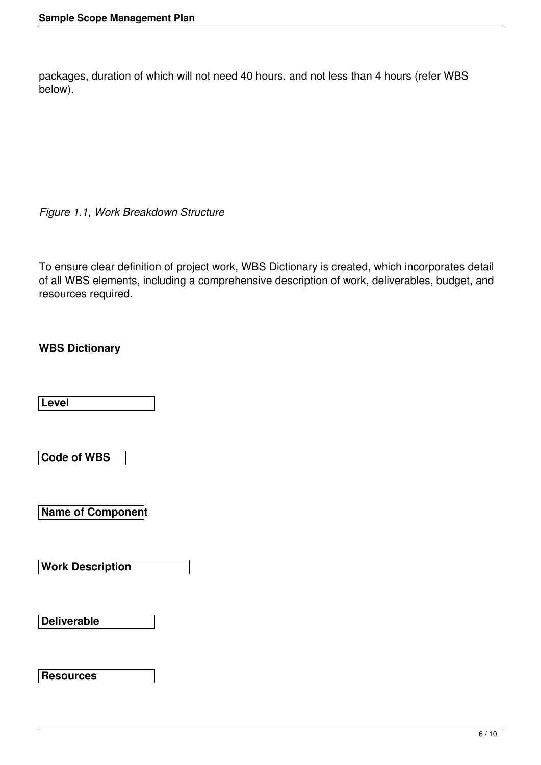packages, duration of which will not need 40 hours, and not less than 4 hours (refer WBS below).

*Figure 1.1, Work Breakdown Structure* 

To ensure clear definition of project work, WBS Dictionary is created, which incorporates detail of all WBS elements, including a comprehensive description of work, deliverables, budget, and resources required.

**WBS Dictionary** 

**Level** 

**Code of WBS** 

**Name of Component** 

**Work Description** 

**Deliverable** 

**Resources**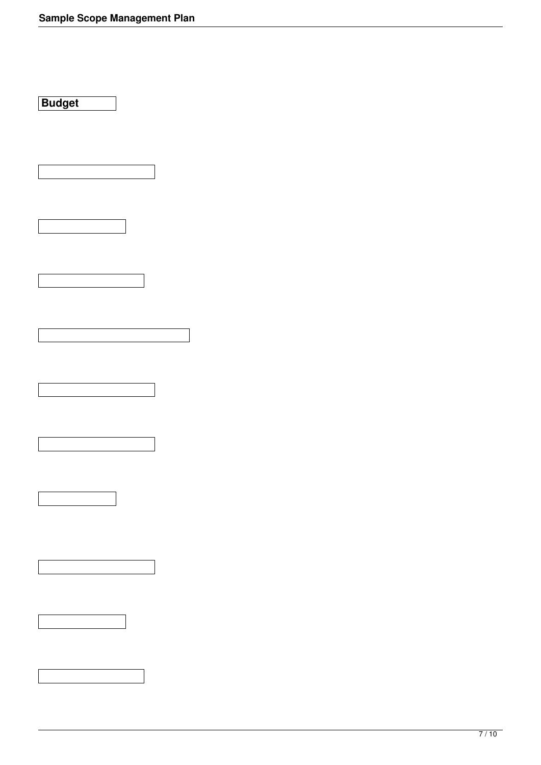**Budget**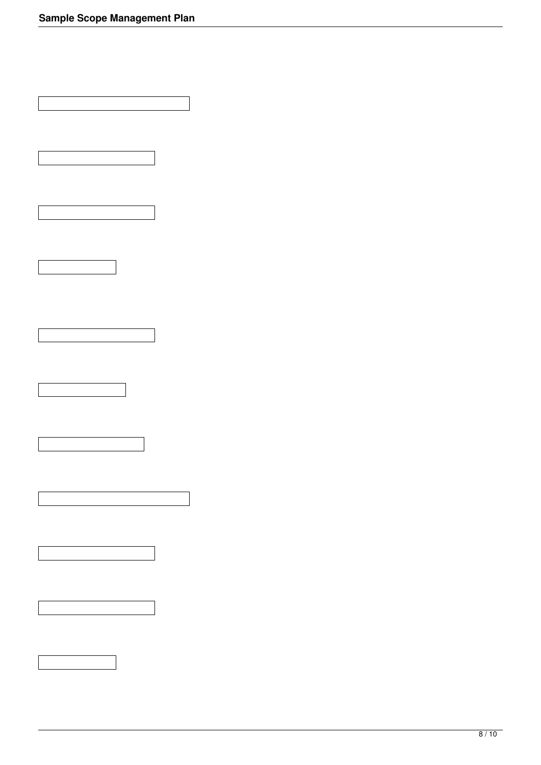